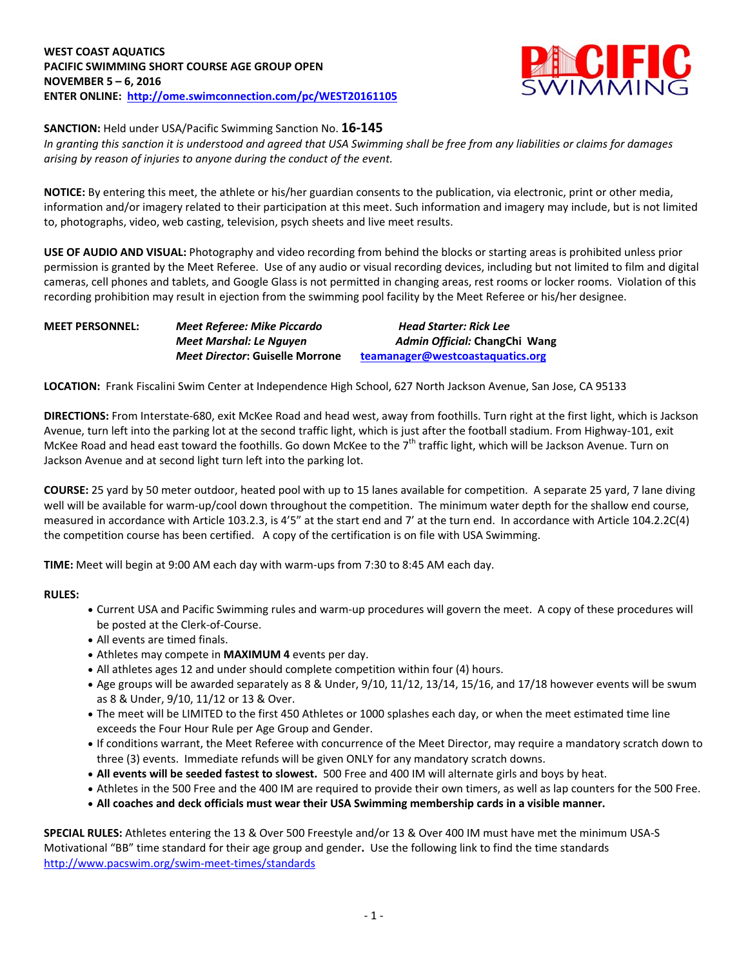

**SANCTION:** Held under USA/Pacific Swimming Sanction No. **16-145**

*In granting this sanction it is understood and agreed that USA Swimming shall be free from any liabilities or claims for damages arising by reason of injuries to anyone during the conduct of the event.*

**NOTICE:** By entering this meet, the athlete or his/her guardian consents to the publication, via electronic, print or other media, information and/or imagery related to their participation at this meet. Such information and imagery may include, but is not limited to, photographs, video, web casting, television, psych sheets and live meet results.

**USE OF AUDIO AND VISUAL:** Photography and video recording from behind the blocks or starting areas is prohibited unless prior permission is granted by the Meet Referee. Use of any audio or visual recording devices, including but not limited to film and digital cameras, cell phones and tablets, and Google Glass is not permitted in changing areas, rest rooms or locker rooms. Violation of this recording prohibition may result in ejection from the swimming pool facility by the Meet Referee or his/her designee.

| <b>MEET PERSONNEL:</b> | Meet Referee: Mike Piccardo     | Head Starter: Rick Lee           |
|------------------------|---------------------------------|----------------------------------|
|                        | Meet Marshal: Le Nauyen         | Admin Official: ChangChi Wang    |
|                        | Meet Director: Guiselle Morrone | teamanager@westcoastaquatics.org |

**LOCATION:** Frank Fiscalini Swim Center at Independence High School, 627 North Jackson Avenue, San Jose, CA 95133

**DIRECTIONS:** From Interstate-680, exit McKee Road and head west, away from foothills. Turn right at the first light, which is Jackson Avenue, turn left into the parking lot at the second traffic light, which is just after the football stadium. From Highway-101, exit McKee Road and head east toward the foothills. Go down McKee to the 7<sup>th</sup> traffic light, which will be Jackson Avenue. Turn on Jackson Avenue and at second light turn left into the parking lot.

**COURSE:** 25 yard by 50 meter outdoor, heated pool with up to 15 lanes available for competition. A separate 25 yard, 7 lane diving well will be available for warm-up/cool down throughout the competition. The minimum water depth for the shallow end course, measured in accordance with Article 103.2.3, is 4'5" at the start end and 7' at the turn end. In accordance with Article 104.2.2C(4) the competition course has been certified. A copy of the certification is on file with USA Swimming.

**TIME:** Meet will begin at 9:00 AM each day with warm-ups from 7:30 to 8:45 AM each day.

## **RULES:**

- Current USA and Pacific Swimming rules and warm-up procedures will govern the meet. A copy of these procedures will be posted at the Clerk-of-Course.
- All events are timed finals.
- Athletes may compete in **MAXIMUM 4** events per day.
- All athletes ages 12 and under should complete competition within four (4) hours.
- Age groups will be awarded separately as 8 & Under, 9/10, 11/12, 13/14, 15/16, and 17/18 however events will be swum as 8 & Under, 9/10, 11/12 or 13 & Over.
- The meet will be LIMITED to the first 450 Athletes or 1000 splashes each day, or when the meet estimated time line exceeds the Four Hour Rule per Age Group and Gender.
- If conditions warrant, the Meet Referee with concurrence of the Meet Director, may require a mandatory scratch down to three (3) events. Immediate refunds will be given ONLY for any mandatory scratch downs.
- **All events will be seeded fastest to slowest.** 500 Free and 400 IM will alternate girls and boys by heat.
- Athletes in the 500 Free and the 400 IM are required to provide their own timers, as well as lap counters for the 500 Free.
- **All coaches and deck officials must wear their USA Swimming membership cards in a visible manner.**

**SPECIAL RULES:** Athletes entering the 13 & Over 500 Freestyle and/or 13 & Over 400 IM must have met the minimum USA-S Motivational "BB" time standard for their age group and gender**.** Use the following link to find the time standards <http://www.pacswim.org/swim-meet-times/standards>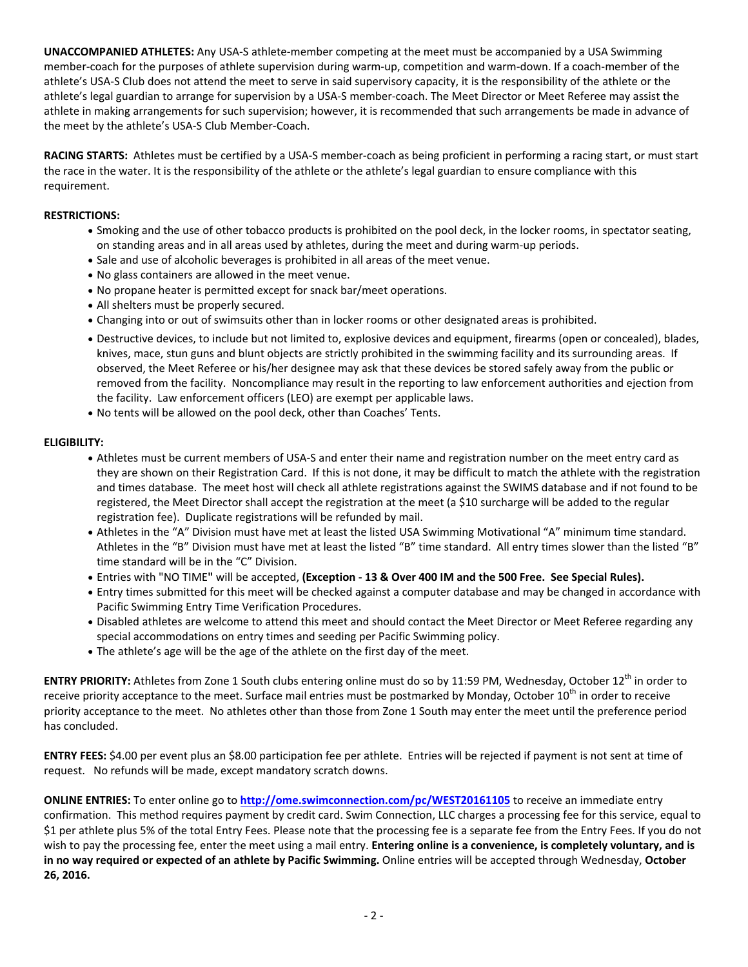**UNACCOMPANIED ATHLETES:** Any USA-S athlete-member competing at the meet must be accompanied by a USA Swimming member-coach for the purposes of athlete supervision during warm-up, competition and warm-down. If a coach-member of the athlete's USA-S Club does not attend the meet to serve in said supervisory capacity, it is the responsibility of the athlete or the athlete's legal guardian to arrange for supervision by a USA-S member-coach. The Meet Director or Meet Referee may assist the athlete in making arrangements for such supervision; however, it is recommended that such arrangements be made in advance of the meet by the athlete's USA-S Club Member-Coach.

**RACING STARTS:** Athletes must be certified by a USA-S member-coach as being proficient in performing a racing start, or must start the race in the water. It is the responsibility of the athlete or the athlete's legal guardian to ensure compliance with this requirement.

## **RESTRICTIONS:**

- Smoking and the use of other tobacco products is prohibited on the pool deck, in the locker rooms, in spectator seating, on standing areas and in all areas used by athletes, during the meet and during warm-up periods.
- Sale and use of alcoholic beverages is prohibited in all areas of the meet venue.
- No glass containers are allowed in the meet venue.
- No propane heater is permitted except for snack bar/meet operations.
- All shelters must be properly secured.
- Changing into or out of swimsuits other than in locker rooms or other designated areas is prohibited.
- Destructive devices, to include but not limited to, explosive devices and equipment, firearms (open or concealed), blades, knives, mace, stun guns and blunt objects are strictly prohibited in the swimming facility and its surrounding areas. If observed, the Meet Referee or his/her designee may ask that these devices be stored safely away from the public or removed from the facility. Noncompliance may result in the reporting to law enforcement authorities and ejection from the facility. Law enforcement officers (LEO) are exempt per applicable laws.
- No tents will be allowed on the pool deck, other than Coaches' Tents.

## **ELIGIBILITY:**

- Athletes must be current members of USA-S and enter their name and registration number on the meet entry card as they are shown on their Registration Card. If this is not done, it may be difficult to match the athlete with the registration and times database. The meet host will check all athlete registrations against the SWIMS database and if not found to be registered, the Meet Director shall accept the registration at the meet (a \$10 surcharge will be added to the regular registration fee). Duplicate registrations will be refunded by mail.
- Athletes in the "A" Division must have met at least the listed USA Swimming Motivational "A" minimum time standard. Athletes in the "B" Division must have met at least the listed "B" time standard. All entry times slower than the listed "B" time standard will be in the "C" Division.
- Entries with "NO TIME**"** will be accepted, **(Exception - 13 & Over 400 IM and the 500 Free. See Special Rules).**
- Entry times submitted for this meet will be checked against a computer database and may be changed in accordance with Pacific Swimming Entry Time Verification Procedures.
- Disabled athletes are welcome to attend this meet and should contact the Meet Director or Meet Referee regarding any special accommodations on entry times and seeding per Pacific Swimming policy.
- The athlete's age will be the age of the athlete on the first day of the meet.

ENTRY PRIORITY: Athletes from Zone 1 South clubs entering online must do so by 11:59 PM, Wednesday, October 12<sup>th</sup> in order to receive priority acceptance to the meet. Surface mail entries must be postmarked by Monday, October  $10^{th}$  in order to receive priority acceptance to the meet. No athletes other than those from Zone 1 South may enter the meet until the preference period has concluded.

**ENTRY FEES:** \$4.00 per event plus an \$8.00 participation fee per athlete. Entries will be rejected if payment is not sent at time of request. No refunds will be made, except mandatory scratch downs.

**ONLINE ENTRIES:** To enter online go to **<http://ome.swimconnection.com/pc/WEST20161105>** to receive an immediate entry confirmation. This method requires payment by credit card. Swim Connection, LLC charges a processing fee for this service, equal to \$1 per athlete plus 5% of the total Entry Fees. Please note that the processing fee is a separate fee from the Entry Fees. If you do not wish to pay the processing fee, enter the meet using a mail entry. **Entering online is a convenience, is completely voluntary, and is in no way required or expected of an athlete by Pacific Swimming.** Online entries will be accepted through Wednesday, **October 26, 2016.**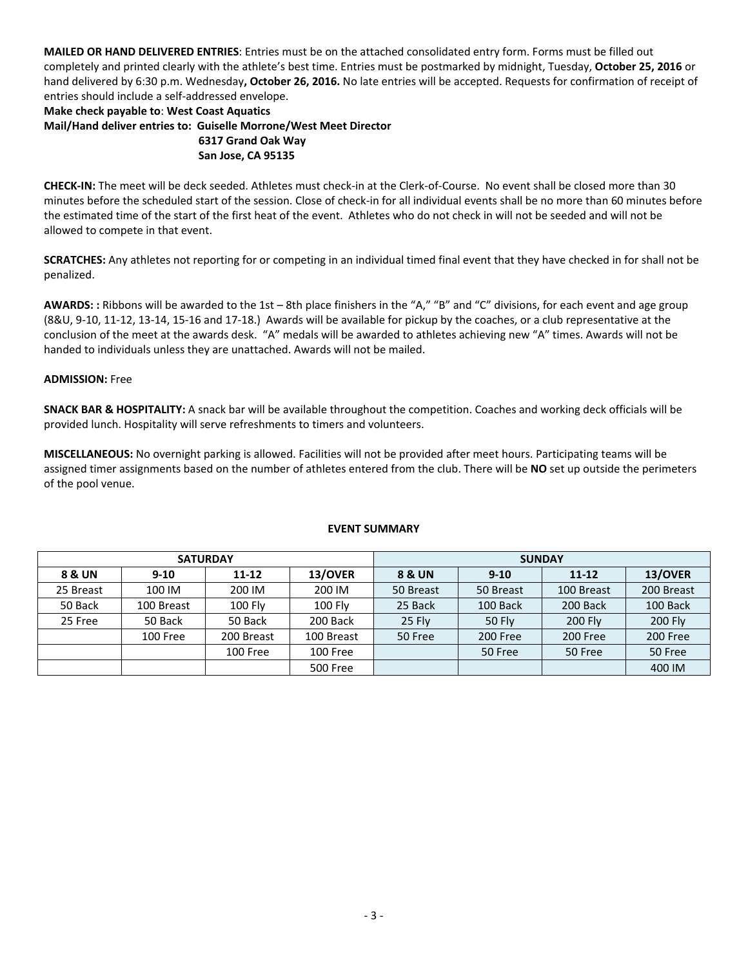**MAILED OR HAND DELIVERED ENTRIES**: Entries must be on the attached consolidated entry form. Forms must be filled out completely and printed clearly with the athlete's best time. Entries must be postmarked by midnight, Tuesday, **October 25, 2016** or hand delivered by 6:30 p.m. Wednesday**, October 26, 2016.** No late entries will be accepted. Requests for confirmation of receipt of entries should include a self-addressed envelope.

# **Make check payable to**: **West Coast Aquatics Mail/Hand deliver entries to: Guiselle Morrone/West Meet Director 6317 Grand Oak Way San Jose, CA 95135**

**CHECK-IN:** The meet will be deck seeded. Athletes must check-in at the Clerk-of-Course. No event shall be closed more than 30 minutes before the scheduled start of the session. Close of check-in for all individual events shall be no more than 60 minutes before the estimated time of the start of the first heat of the event. Athletes who do not check in will not be seeded and will not be allowed to compete in that event.

**SCRATCHES:** Any athletes not reporting for or competing in an individual timed final event that they have checked in for shall not be penalized.

**AWARDS: :** Ribbons will be awarded to the 1st – 8th place finishers in the "A," "B" and "C" divisions, for each event and age group (8&U, 9-10, 11-12, 13-14, 15-16 and 17-18.) Awards will be available for pickup by the coaches, or a club representative at the conclusion of the meet at the awards desk. "A" medals will be awarded to athletes achieving new "A" times. Awards will not be handed to individuals unless they are unattached. Awards will not be mailed.

# **ADMISSION:** Free

**SNACK BAR & HOSPITALITY:** A snack bar will be available throughout the competition. Coaches and working deck officials will be provided lunch. Hospitality will serve refreshments to timers and volunteers.

**MISCELLANEOUS:** No overnight parking is allowed. Facilities will not be provided after meet hours. Participating teams will be assigned timer assignments based on the number of athletes entered from the club. There will be **NO** set up outside the perimeters of the pool venue.

|                   | <b>SATURDAY</b> |            |                 | <b>SUNDAY</b> |               |                |                |  |  |
|-------------------|-----------------|------------|-----------------|---------------|---------------|----------------|----------------|--|--|
| <b>8 &amp; UN</b> | $9 - 10$        | $11 - 12$  | 13/OVER         | 8 & UN        | $9 - 10$      | $11 - 12$      | 13/OVER        |  |  |
| 25 Breast         | 100 IM          | 200 IM     | 200 IM          | 50 Breast     | 50 Breast     | 100 Breast     | 200 Breast     |  |  |
| 50 Back           | 100 Breast      | 100 Fly    | <b>100 Flv</b>  | 25 Back       | 100 Back      | 200 Back       | 100 Back       |  |  |
| 25 Free           | 50 Back         | 50 Back    | 200 Back        | 25 Fly        | <b>50 Fly</b> | <b>200 Flv</b> | <b>200 Fly</b> |  |  |
|                   | 100 Free        | 200 Breast | 100 Breast      | 50 Free       | 200 Free      | 200 Free       | 200 Free       |  |  |
|                   |                 | 100 Free   | 100 Free        |               | 50 Free       | 50 Free        | 50 Free        |  |  |
|                   |                 |            | <b>500 Free</b> |               |               |                | 400 IM         |  |  |

## **EVENT SUMMARY**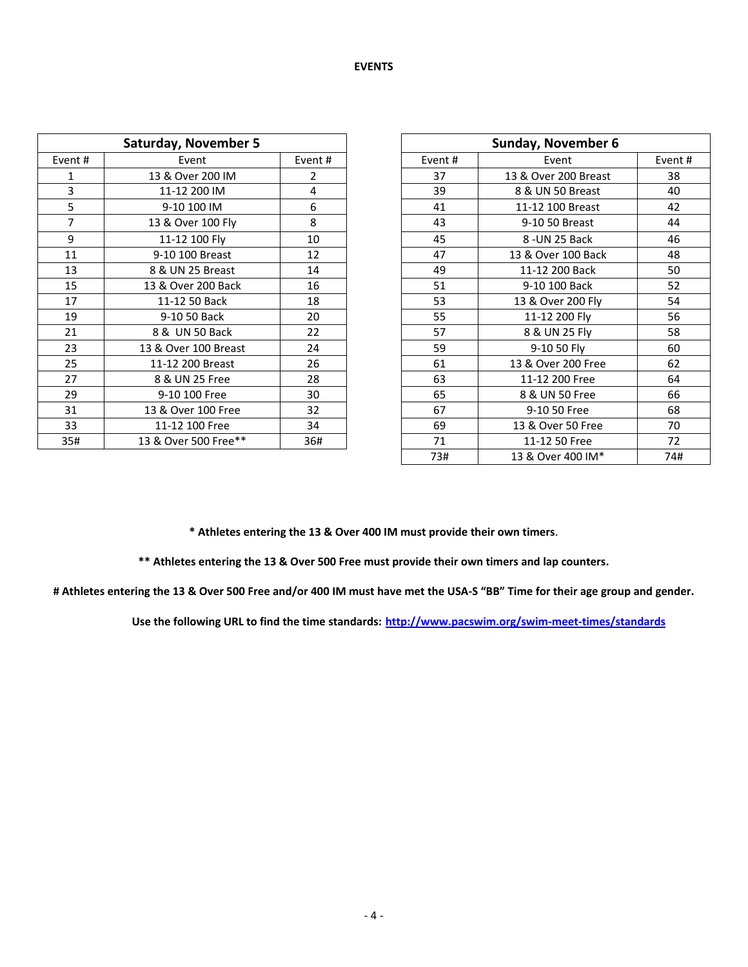#### **EVENTS**

| <b>Saturday, November 5</b> |                      |        |        | Sunday, November 6   |        |  |  |  |
|-----------------------------|----------------------|--------|--------|----------------------|--------|--|--|--|
| Event#                      | Event                | Event# | Event# | Event                | Event# |  |  |  |
| 1                           | 13 & Over 200 IM     | 2      | 37     | 13 & Over 200 Breast | 38     |  |  |  |
| 3                           | 11-12 200 IM         | 4      | 39     | 8 & UN 50 Breast     | 40     |  |  |  |
| 5                           | 9-10 100 IM          | 6      | 41     | 11-12 100 Breast     | 42     |  |  |  |
| 7                           | 13 & Over 100 Fly    | 8      | 43     | 9-10 50 Breast       | 44     |  |  |  |
| 9                           | 11-12 100 Fly        | 10     | 45     | 8-UN 25 Back         | 46     |  |  |  |
| 11                          | 9-10 100 Breast      | 12     | 47     | 13 & Over 100 Back   | 48     |  |  |  |
| 13                          | 8 & UN 25 Breast     | 14     | 49     | 11-12 200 Back       | 50     |  |  |  |
| 15                          | 13 & Over 200 Back   | 16     | 51     | 9-10 100 Back        | 52     |  |  |  |
| 17                          | 11-12 50 Back        | 18     | 53     | 13 & Over 200 Fly    | 54     |  |  |  |
| 19                          | 9-10 50 Back         | 20     | 55     | 11-12 200 Fly        | 56     |  |  |  |
| 21                          | 8 & UN 50 Back       | 22     | 57     | 8 & UN 25 Fly        | 58     |  |  |  |
| 23                          | 13 & Over 100 Breast | 24     | 59     | 9-10 50 Fly          | 60     |  |  |  |
| 25                          | 11-12 200 Breast     | 26     | 61     | 13 & Over 200 Free   | 62     |  |  |  |
| 27                          | 8 & UN 25 Free       | 28     | 63     | 11-12 200 Free       | 64     |  |  |  |
| 29                          | 9-10 100 Free        | 30     | 65     | 8 & UN 50 Free       | 66     |  |  |  |
| 31                          | 13 & Over 100 Free   | 32     | 67     | 9-10 50 Free         | 68     |  |  |  |
| 33                          | 11-12 100 Free       | 34     | 69     | 13 & Over 50 Free    | 70     |  |  |  |
| 35#                         | 13 & Over 500 Free** | 36#    | 71     | 11-12 50 Free        | 72     |  |  |  |

|                 | <b>Saturday, November 5</b> |        |  |                         | <b>Sunday, November 6</b> |        |  |  |
|-----------------|-----------------------------|--------|--|-------------------------|---------------------------|--------|--|--|
| ent #           | Event                       | Event# |  | Event#<br>Event         |                           | Event# |  |  |
| $\mathbf{1}$    | 13 & Over 200 IM            | 2      |  | 37                      | 13 & Over 200 Breast      | 38     |  |  |
| $\overline{3}$  | 11-12 200 IM                | 4      |  | 39                      | 8 & UN 50 Breast          | 40     |  |  |
| $5\phantom{.0}$ | 9-10 100 IM                 | 6      |  | 41                      | 11-12 100 Breast          | 42     |  |  |
| $\overline{7}$  | 13 & Over 100 Fly           | 8      |  | 43                      | 9-10 50 Breast            | 44     |  |  |
| 9               | 11-12 100 Fly               | 10     |  | 45                      | 8 - UN 25 Back            | 46     |  |  |
| 11              | 9-10 100 Breast             | 12     |  | 47                      | 13 & Over 100 Back        | 48     |  |  |
| 13              | 8 & UN 25 Breast            | 14     |  | 49                      | 11-12 200 Back            | 50     |  |  |
| 15              | 13 & Over 200 Back          | 16     |  | 51                      | 9-10 100 Back             | 52     |  |  |
| $17\,$          | 11-12 50 Back               | 18     |  | 53                      | 13 & Over 200 Fly         | 54     |  |  |
| 19              | 9-10 50 Back                | 20     |  | 55                      | 11-12 200 Fly             | 56     |  |  |
| 21              | 8 & UN 50 Back              | 22     |  | 57                      | 8 & UN 25 Fly             | 58     |  |  |
| 23              | 13 & Over 100 Breast        | 24     |  | 59                      | 9-10 50 Fly               | 60     |  |  |
| 25              | 11-12 200 Breast            | 26     |  | 61                      | 13 & Over 200 Free        | 62     |  |  |
| 27              | 8 & UN 25 Free              | 28     |  | 63                      | 11-12 200 Free            | 64     |  |  |
| 29              | 9-10 100 Free               | 30     |  | 65                      | 8 & UN 50 Free            | 66     |  |  |
| 31              | 13 & Over 100 Free          | 32     |  | 67                      | 9-10 50 Free              | 68     |  |  |
| 33              | 11-12 100 Free              | 34     |  | 69<br>13 & Over 50 Free |                           | 70     |  |  |
| 35#             | 13 & Over 500 Free**        | 36#    |  | 71                      | 11-12 50 Free             | 72     |  |  |
|                 |                             |        |  | 73#                     | 13 & Over 400 IM*         | 74#    |  |  |

**\* Athletes entering the 13 & Over 400 IM must provide their own timers**.

**\*\* Athletes entering the 13 & Over 500 Free must provide their own timers and lap counters.**

**# Athletes entering the 13 & Over 500 Free and/or 400 IM must have met the USA-S "BB" Time for their age group and gender.**

**Use the following URL to find the time standards: <http://www.pacswim.org/swim-meet-times/standards>**